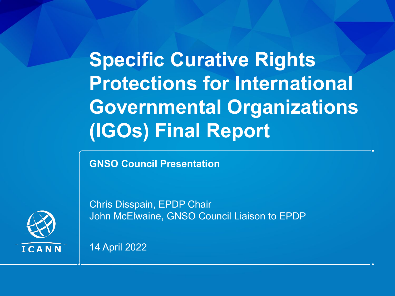**Specific Curative Rights Protections for International Governmental Organizations (IGOs) Final Report**

**GNSO Council Presentation**

Chris Disspain, EPDP Chair John McElwaine, GNSO Council Liaison to EPDP

14 April 2022

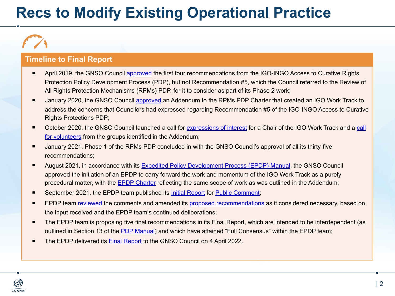### **Recs to Modify Existing Operational Practice**

#### **Timeline to Final Report**

- April 2019, the GNSO Council [approved](https://gnso.icann.org/en/council/resolutions#201905) the first four recommendations from the IGO-INGO Access to Curative Rights Protection Policy Development Process (PDP), but not Recommendation #5, which the Council referred to the Review of All Rights Protection Mechanisms (RPMs) PDP, for it to consider as part of its Phase 2 work;
- January 2020, the GNSO Council [approved](https://gnso.icann.org/en/council/resolutions/2020-current#20200123-2) an Addendum to the RPMs PDP Charter that created an IGO Work Track to address the concerns that Councilors had expressed regarding Recommendation #5 of the IGO-INGO Access to Curative Rights Protections PDP;
- October 2020, the GNSO Council launched a call for [expressions of interest](https://www.icann.org/en/system/files/files/eoi-igo-work-track-chair-26oct20-en.pdf) for a Chair of the IGO Work Track and a [call](https://gnso.icann.org/sites/default/files/file/field-file-attach/igo-work-track-call-volunteers-27oct20-en.pdf) [for volunteers](https://gnso.icann.org/sites/default/files/file/field-file-attach/igo-work-track-call-volunteers-27oct20-en.pdf) from the groups identified in the Addendum;
- January 2021, Phase 1 of the RPMs PDP concluded in with the GNSO Council's approval of all its thirty-five recommendations;
- August 2021, in accordance with its [Expedited Policy Development Process \(EPDP\) Manual,](https://gnso.icann.org/en/council/annex-4-epdp-manual-24oct19-en.pdf) the GNSO Council approved the initiation of an EPDP to carry forward the work and momentum of the IGO Work Track as a purely procedural matter, with the [EPDP Charter](https://gnso.icann.org/sites/default/files/file/field-file-attach/specific-crp-igo-epdp-charter-16aug21-en.pdf) reflecting the same scope of work as was outlined in the Addendum;
- September 2021, the EPDP team published its [Initial Report](https://gnso.icann.org/en/issues/specific-crp-igo-epdp-initial-report-preliminary-recommendations-14sep21-en.pdf) for [Public Comment](https://www.icann.org/en/public-comment/proceeding/initial-report-epdp-specific-curative-rights-protections-igos-14-09-2021);
- EPDP team [reviewed](https://community.icann.org/x/PASlCg) the comments and amended its [proposed recommendations](https://community.icann.org/x/PwG7Cg) as it considered necessary, based on the input received and the EPDP team's continued deliberations;
- The EPDP team is proposing five final recommendations in its Final Report, which are intended to be interdependent (as outlined in Section 13 of the [PDP Manual\)](https://gnso.icann.org/sites/default/files/file/field-file-attach/specific-crp-igo-epdp-charter-16aug21-en.pdf) and which have attained "Full Consensus" within the EPDP team;
- The EPDP delivered its [Final Report](https://gnso.icann.org/en/issues/epdp-specific-crp-igo-final-report-02apr22-en.pdf) to the GNSO Council on 4 April 2022.

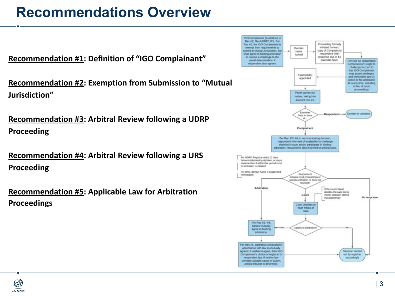#### **Recommendations Overview**

**Recommendation #1: Definition of "IGO Complainant"**

**Recommendation #2: Exemption from Submission to "Mutual Jurisdiction"**

```
Recommendation #3: Arbitral Review following a UDRP 
Proceeding
```

```
Recommendation #4: Arbitral Review following a URS 
Proceeding
```

```
Recommendation #5: Applicable Law for Arbitration 
Proceedings
```


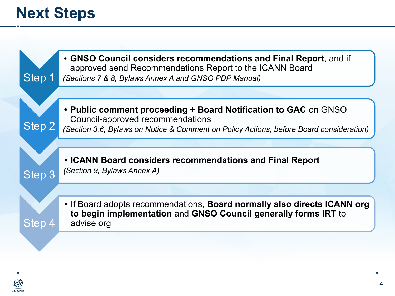## **Next Steps**

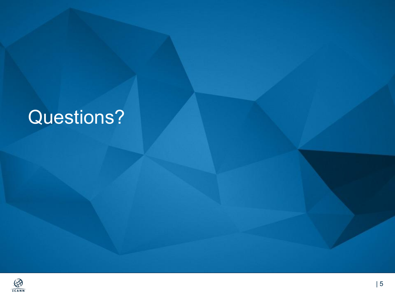# Questions?

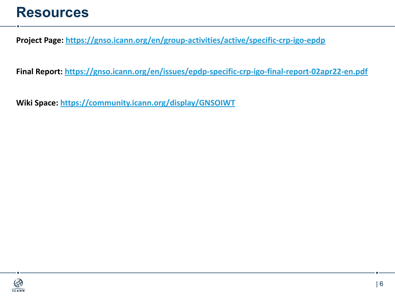#### **Resources**

**Project Page: <https://gnso.icann.org/en/group-activities/active/specific-crp-igo-epdp>**

**Final Report: <https://gnso.icann.org/en/issues/epdp-specific-crp-igo-final-report-02apr22-en.pdf>**

**Wiki Space: <https://community.icann.org/display/GNSOIWT>**